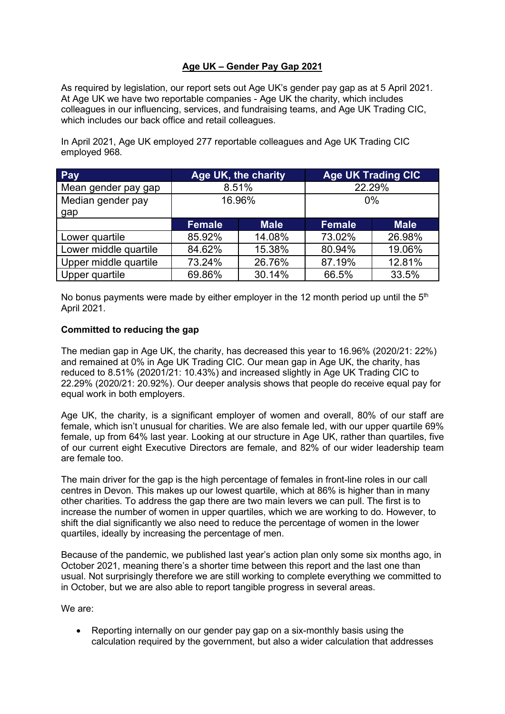## **Age UK – Gender Pay Gap 2021**

As required by legislation, our report sets out Age UK's gender pay gap as at 5 April 2021. At Age UK we have two reportable companies - Age UK the charity, which includes colleagues in our influencing, services, and fundraising teams, and Age UK Trading CIC, which includes our back office and retail colleagues.

In April 2021, Age UK employed 277 reportable colleagues and Age UK Trading CIC employed 968.

| Pay                   | Age UK, the charity |             | <b>Age UK Trading CIC</b> |             |
|-----------------------|---------------------|-------------|---------------------------|-------------|
| Mean gender pay gap   | 8.51%               |             | 22.29%                    |             |
| Median gender pay     | 16.96%              |             | $0\%$                     |             |
| gap                   |                     |             |                           |             |
|                       | <b>Female</b>       | <b>Male</b> | <b>Female</b>             | <b>Male</b> |
| Lower quartile        | 85.92%              | 14.08%      | 73.02%                    | 26.98%      |
| Lower middle quartile | 84.62%              | 15.38%      | 80.94%                    | 19.06%      |
| Upper middle quartile | 73.24%              | 26.76%      | 87.19%                    | 12.81%      |
| Upper quartile        | 69.86%              | 30.14%      | 66.5%                     | 33.5%       |

No bonus payments were made by either employer in the 12 month period up until the  $5<sup>th</sup>$ April 2021.

## **Committed to reducing the gap**

The median gap in Age UK, the charity, has decreased this year to 16.96% (2020/21: 22%) and remained at 0% in Age UK Trading CIC. Our mean gap in Age UK, the charity, has reduced to 8.51% (20201/21: 10.43%) and increased slightly in Age UK Trading CIC to 22.29% (2020/21: 20.92%). Our deeper analysis shows that people do receive equal pay for equal work in both employers.

Age UK, the charity, is a significant employer of women and overall, 80% of our staff are female, which isn't unusual for charities. We are also female led, with our upper quartile 69% female, up from 64% last year. Looking at our structure in Age UK, rather than quartiles, five of our current eight Executive Directors are female, and 82% of our wider leadership team are female too.

The main driver for the gap is the high percentage of females in front-line roles in our call centres in Devon. This makes up our lowest quartile, which at 86% is higher than in many other charities. To address the gap there are two main levers we can pull. The first is to increase the number of women in upper quartiles, which we are working to do. However, to shift the dial significantly we also need to reduce the percentage of women in the lower quartiles, ideally by increasing the percentage of men.

Because of the pandemic, we published last year's action plan only some six months ago, in October 2021, meaning there's a shorter time between this report and the last one than usual. Not surprisingly therefore we are still working to complete everything we committed to in October, but we are also able to report tangible progress in several areas.

We are:

• Reporting internally on our gender pay gap on a six-monthly basis using the calculation required by the government, but also a wider calculation that addresses